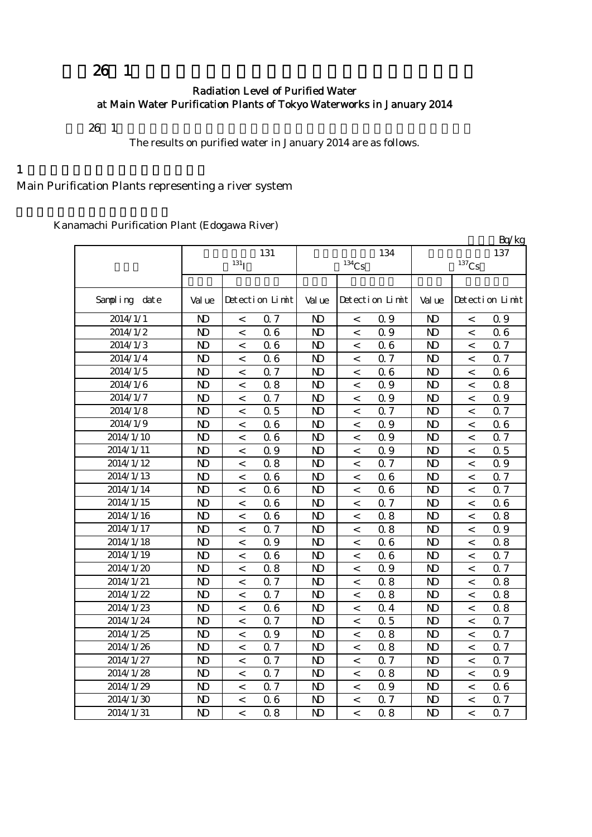## $26 \t1$

### Radiation Level of Purified Water at Main Water Purification Plants of Tokyo Waterworks in January 2014

 $26 \t1$ 

The results on purified water in January 2014 are as follows.

 $1$ 

Main Purification Plants representing a river system

Kanamachi Purification Plant (Edogawa River)

|               |                |                          |                 |                |                     |                 |                |                          | Bq/kg           |
|---------------|----------------|--------------------------|-----------------|----------------|---------------------|-----------------|----------------|--------------------------|-----------------|
|               |                | 131                      |                 |                | 134                 | 137             |                |                          |                 |
|               |                | $131$ <sup>T</sup>       |                 |                | $^{134}\mathrm{Cs}$ |                 |                | $^{137}\mathrm{Cs}$      |                 |
|               |                |                          |                 |                |                     |                 |                |                          |                 |
| Sampling date | Val ue         |                          | Detection Limit | Val ue         |                     | Detection Limit | Val ue         |                          | Detection Limit |
| 2014/1/1      | $\mathbf{D}$   | $\,<\,$                  | 0.7             | $\mathbf{D}$   | $\,<$               | 0.9             | $\mathbf{D}$   | $\,<\,$                  | 0.9             |
| 2014/1/2      | $\mathbf{D}$   | $\,<\,$                  | 06              | $\mathbf{D}$   | $\,<\,$             | 0.9             | $\mathbf{D}$   | $\,<\,$                  | 06              |
| 2014/1/3      | $\mathbf{D}$   | $\,<\,$                  | 06              | $\mathbf{D}$   | $\,<$               | 06              | $\mathbf{D}$   | $\lt$                    | 0.7             |
| 2014/1/4      | $\mathbf{D}$   | $\overline{\phantom{a}}$ | 06              | $\mathbf{D}$   | $\,<\,$             | 0.7             | $\mathbf{D}$   | $\,<\,$                  | $0.7\,$         |
| 2014/1/5      | $\mathbf{D}$   | $\,<\,$                  | 0.7             | $\mathbf{D}$   | $\,<$               | 06              | $\mathbf{D}$   | $\,<\,$                  | 06              |
| 2014/1/6      | $\mathbf{D}$   | $\,<\,$                  | 0.8             | $\mathbf{D}$   | $\,<$               | 0.9             | $\mathbf{D}$   | $\,<\,$                  | 0.8             |
| 2014/1/7      | $\mathbf{D}$   | $\,<\,$                  | 0.7             | $\mathbf{D}$   | $\,<\,$             | 0.9             | $\mathbf{D}$   | $\,<$                    | 0.9             |
| 2014/1/8      | $\mathbf{D}$   | $\,<\,$                  | 0.5             | $\mathbf{D}$   | $\,<$               | 0.7             | $\mathbf{D}$   | $\,<$                    | 0.7             |
| 2014/1/9      | N <sub>D</sub> | $\overline{\phantom{a}}$ | 06              | N <sub>D</sub> | $\,<\,$             | 0.9             | N <sub>D</sub> | $\,<\,$                  | 0.6             |
| 2014/1/10     | N <sub>D</sub> | $\overline{\phantom{a}}$ | 06              | N <sub>D</sub> | $\,<\,$             | 0.9             | N <sub>D</sub> | $\,<\,$                  | 0.7             |
| 2014/1/11     | $\mathbf{D}$   | $\,<\,$                  | 0.9             | N <sub>D</sub> | $\,<$               | 0.9             | N <sub>D</sub> | $\,<\,$                  | 0.5             |
| 2014/1/12     | $\mathbf{D}$   | $\overline{\phantom{a}}$ | 0.8             | $\mathbf{D}$   | $\,<\,$             | 0.7             | $\mathbf{D}$   | $\,<\,$                  | 0.9             |
| 2014/1/13     | $\mathbf{D}$   | $\overline{\phantom{a}}$ | 06              | $\mathbf{D}$   | $\,<$               | 06              | $\mathbf{D}$   | $\,<\,$                  | 0.7             |
| 2014/1/14     | $\mathbf{D}$   | $\overline{\phantom{a}}$ | 06              | $\mathbf{D}$   | $\,<$               | 06              | $\mathbf{D}$   | $\,<\,$                  | 0.7             |
| 2014/1/15     | $\mathbf{D}$   | $\,<\,$                  | 06              | $\mathbf{D}$   | $\,<$               | Q <sub>7</sub>  | N <sub>D</sub> | $\,<\,$                  | 06              |
| 2014/1/16     | $\mathbf{D}$   | $\overline{\phantom{0}}$ | 06              | $\mathbf{D}$   | $\,<$               | 0.8             | N <sub>D</sub> | $\overline{a}$           | 0.8             |
| 2014/1/17     | $\mathbf{D}$   | $\overline{\phantom{a}}$ | 0.7             | $\mathbf{D}$   | $\,<$               | 0.8             | N <sub>D</sub> | $\overline{a}$           | 0.9             |
| 2014/1/18     | $\mathbf{D}$   | $\,<\,$                  | 0.9             | $\mathbf{D}$   | $\,<\,$             | 06              | N <sub>D</sub> | $\,<\,$                  | 0.8             |
| 2014/1/19     | $\mathbf{D}$   | $\,<\,$                  | 06              | $\mathbf{D}$   | $\,<\,$             | 06              | $\mathbf{D}$   | $\,<\,$                  | 0.7             |
| 2014/1/20     | $\mathbf{D}$   | $\,<\,$                  | 0.8             | $\mathbf{D}$   | $\,<\,$             | 0.9             | $\mathbf{D}$   | $\lt$                    | 0.7             |
| 2014/1/21     | N <sub>D</sub> | $\,<\,$                  | 0.7             | $\mathbf{D}$   | $\,<\,$             | 0.8             | $\mathbf{D}$   | $\lt$                    | 0.8             |
| 2014/1/22     | N <sub>D</sub> | $\overline{\phantom{a}}$ | Q 7             | $\mathbf{D}$   | $\,<\,$             | 0.8             | N <sub>D</sub> | $\lt$                    | 0.8             |
| 2014/1/23     | $\mathbf{D}$   | $\,<\,$                  | 06              | $\mathbf{D}$   | $\,<\,$             | 0.4             | $\mathbf{D}$   | $\,<\,$                  | 0.8             |
| 2014/1/24     | N <sub>D</sub> | $\,<\,$                  | 0.7             | $\mathbf{D}$   | $\,<\,$             | 0.5             | $\mathbf{D}$   | $\,<\,$                  | 0.7             |
| 2014/1/25     | $\mathbf{D}$   | $\,<\,$                  | 0.9             | $\mathbf{D}$   | $\,<\,$             | 0.8             | $\mathbf{D}$   | $\overline{a}$           | 0.7             |
| 2014/1/26     | $\mathbf{D}$   | $\overline{\phantom{a}}$ | 0.7             | $\mathbf{D}$   | $\,<$               | 0.8             | $\mathbf{D}$   | $\,<\,$                  | 0.7             |
| 2014/1/27     | $\mathbf{D}$   | $\overline{\phantom{a}}$ | 0.7             | $\mathbf{D}$   | $\,<$               | 0.7             | $\mathbf{D}$   | $\,<\,$                  | 0.7             |
| 2014/1/28     | $\mathbf{D}$   | $\,<\,$                  | 0.7             | $\mathbf{D}$   | $\,<$               | 0.8             | $\mathbf{D}$   | $\,<\,$                  | 0.9             |
| 2014/1/29     | $\mathbf{D}$   | $\,<\,$                  | 0.7             | $\mathbf{D}$   | $\,<\,$             | 0.9             | $\mathbf{D}$   | $\,<\,$                  | 06              |
| 2014/1/30     | $\mathbf{D}$   | $\prec$                  | 06              | $\mathbf{D}$   | $\,<$               | 0.7             | $\mathbf{D}$   | $\,<\,$                  | 0.7             |
| 2014/1/31     | $\mathbf{D}$   | $\overline{\phantom{a}}$ | 0.8             | $\mathbf{D}$   | $\,<$               | 0.8             | $\mathbf{D}$   | $\overline{\phantom{a}}$ | 0.7             |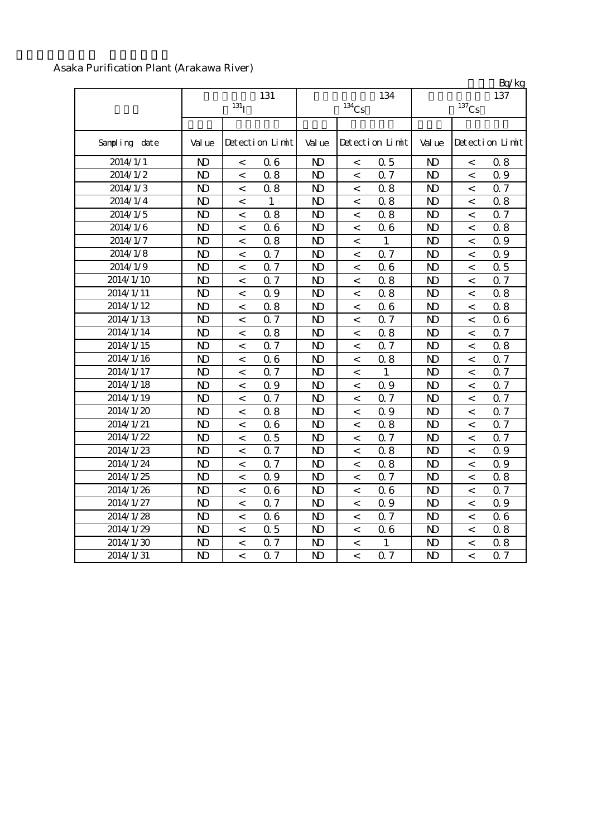#### Asaka Purification Plant (Arakawa River)

|               |                |                          |                 |                |                          |                 |                |                          | Bq/kg           |
|---------------|----------------|--------------------------|-----------------|----------------|--------------------------|-----------------|----------------|--------------------------|-----------------|
|               |                |                          | 131             |                |                          | 134             |                |                          | 137             |
|               |                | $131$ <sub>I</sub>       |                 |                | $^{134}\mathrm{Cs}$      |                 |                | $^{137}\mathrm{Cs}$      |                 |
|               |                |                          |                 |                |                          |                 |                |                          |                 |
| Sampling date | Val ue         |                          | Detection Limit | Val ue         |                          | Detection Limit | Val ue         |                          | Detection Limit |
| 2014/1/1      | N <sub>D</sub> | $\,<\,$                  | 06              | N <sub>D</sub> | $\,<\,$                  | 0.5             | N <sub>D</sub> | $\,<\,$                  | 0.8             |
| 2014/1/2      | $\mathbf{D}$   | $\,<$                    | 0.8             | N <sub>D</sub> | $\,<$                    | 0.7             | N <sub>D</sub> | $\,<\,$                  | 0.9             |
| 2014/1/3      | $\mathbf{D}$   | $\,<$                    | 0.8             | N <sub>D</sub> | $\,<\,$                  | 0.8             | N <sub>D</sub> | $\,<\,$                  | 0.7             |
| 2014/1/4      | $\mathbf{D}$   | $\,<$                    | 1               | N <sub>D</sub> | $\,<\,$                  | 0.8             | N <sub>D</sub> | $\,<\,$                  | 0.8             |
| 2014/1/5      | $\mathbf{N}$   | $\,<$                    | 0.8             | N <sub>D</sub> | $\,<\,$                  | 08              | N <sub>D</sub> | $\,<\,$                  | 0.7             |
| 2014/1/6      | $\mathbf{N}$   | $\,<$                    | 06              | N <sub>D</sub> | $\,<\,$                  | 06              | N <sub>D</sub> | $\,<\,$                  | 0.8             |
| 2014/1/7      | $\mathbf{D}$   | $\,<\,$                  | 0.8             | N <sub>D</sub> | $\,<\,$                  | $\mathbf{1}$    | N <sub>D</sub> | $\,<\,$                  | 0.9             |
| 2014/1/8      | N <sub>D</sub> | $\,<\,$                  | 0.7             | N <sub>D</sub> | $\,<\,$                  | 0.7             | $\mathbf{D}$   | $\,<\,$                  | 0.9             |
| 2014/1/9      | N <sub>D</sub> | $\,<\,$                  | 0.7             | N <sub>D</sub> | $\,<$                    | 06              | $\mathbf{D}$   | $\,<$                    | 0.5             |
| 2014/1/10     | N <sub>D</sub> | $\,<\,$                  | 0.7             | N <sub>D</sub> | $\,<$                    | 0.8             | $\mathbf{D}$   | $\,<\,$                  | 0.7             |
| 2014/1/11     | N <sub>D</sub> | $\,<\,$                  | 0.9             | N <sub>D</sub> | $\,<$                    | 0.8             | $\mathbf{D}$   | $\,<\,$                  | 0.8             |
| 2014/1/12     | N <sub>D</sub> | $\,<$                    | 0.8             | N <sub>D</sub> | $\,<\,$                  | 06              | N <sub>D</sub> | $\lt$                    | 0.8             |
| 2014/1/13     | N <sub>D</sub> | $\lt$                    | 0.7             | N <sub>D</sub> | $\overline{\phantom{a}}$ | 0.7             | N <sub>D</sub> | $\lt$                    | 0.6             |
| 2014/1/14     | N <sub>D</sub> | $\lt$                    | 0.8             | N <sub>D</sub> | $\overline{\phantom{a}}$ | 0.8             | N <sub>D</sub> | $\lt$                    | 0.7             |
| 2014/1/15     | N <sub>D</sub> | $\lt$                    | 0.7             | N <sub>D</sub> | $\overline{\phantom{a}}$ | 0.7             | N <sub>D</sub> | $\,<\,$                  | 0.8             |
| 2014/1/16     | N <sub>D</sub> | $\,<$                    | 06              | N <sub>D</sub> | $\,<\,$                  | 0.8             | $\mathbf{D}$   | $\,<\,$                  | 0.7             |
| 2014/1/17     | N <sub>D</sub> | $\overline{<}$           | 0.7             | N <sub>D</sub> | $\,<\,$                  | $\mathbf{1}$    | $\mathbf{D}$   | $\overline{<}$           | 0.7             |
| 2014/1/18     | N <sub>D</sub> | $\,<\,$                  | 0.9             | N <sub>D</sub> | $\,<\,$                  | 0.9             | $\mathbf{D}$   | $\overline{\phantom{a}}$ | 0.7             |
| 2014/1/19     | N <sub>D</sub> | $\,<\,$                  | 0.7             | N <sub>D</sub> | $\,<\,$                  | 0.7             | $\mathbf{D}$   | $\overline{\phantom{a}}$ | 0.7             |
| 2014/1/20     | N <sub>D</sub> | $\,<\,$                  | 0.8             | N <sub>D</sub> | $\,<\,$                  | 0.9             | $\mathbf{D}$   | $\overline{\phantom{a}}$ | 0.7             |
| 2014/1/21     | $\mathbf{D}$   | $\,<\,$                  | 06              | $\mathbf{D}$   | $\,<\,$                  | 0.8             | $\mathbf{D}$   | $\,<\,$                  | 0.7             |
| 2014/1/22     | $\mathbf{D}$   | $\overline{\phantom{a}}$ | 0.5             | $\mathbf{D}$   | $\,<\,$                  | Q <sub>7</sub>  | $\mathbf{D}$   | $\overline{\phantom{a}}$ | 0.7             |
| 2014/1/23     | $\mathbf{D}$   | $\overline{\phantom{a}}$ | 0.7             | N <sub>D</sub> | $\,<\,$                  | 08              | N <sub>D</sub> | $\overline{\phantom{a}}$ | 0.9             |
| 2014/1/24     | $\mathbf{D}$   | $\overline{\phantom{a}}$ | 0.7             | N <sub>D</sub> | $\,<\,$                  | 08              | N <sub>D</sub> | $\overline{\phantom{a}}$ | 0.9             |
| 2014/1/25     | $\mathbf{D}$   | $\,<$                    | 0.9             | N <sub>D</sub> | $\,<\,$                  | 0.7             | N <sub>D</sub> | $\,<\,$                  | 0.8             |
| 2014/1/26     | $\mathbf{D}$   | $\overline{a}$           | 06              | N <sub>D</sub> | $\,<\,$                  | 06              | N <sub>D</sub> | $\,<\,$                  | 0.7             |
| 2014/1/27     | N <sub>D</sub> | $\,<$                    | 0.7             | N <sub>D</sub> | $\,<\,$                  | 0.9             | N <sub>D</sub> | $\,<$                    | 0.9             |
| 2014/1/28     | N <sub>D</sub> | $\,<$                    | 06              | N <sub>D</sub> | $\,<\,$                  | 0.7             | $\mathbf{D}$   | $\,<$                    | 06              |
| 2014/1/29     | N <sub>D</sub> | $\,<$                    | 0.5             | N <sub>D</sub> | $\,<\,$                  | 06              | N <sub>D</sub> | $\,<$                    | 0.8             |
| 2014/1/30     | N <sub>D</sub> | $\,<$                    | 0.7             | N <sub>D</sub> | $\,<\,$                  | $\mathbf{1}$    | N <sub>D</sub> | $\,<$                    | 0.8             |
| 2014/1/31     | N <sub>D</sub> | $\overline{<}$           | 0.7             | N <sub>D</sub> | $\,<\,$                  | 0.7             | N <sub>D</sub> | $\overline{\phantom{a}}$ | 0.7             |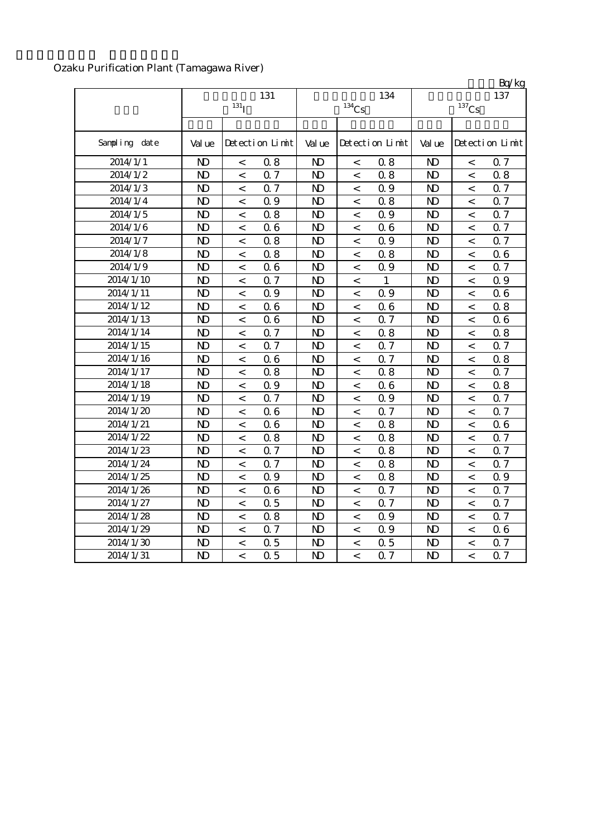## Ozaku Purification Plant (Tamagawa River)

|                       |                |                          |                 |                |                          |                 |                |                          | BQ/Kg           |
|-----------------------|----------------|--------------------------|-----------------|----------------|--------------------------|-----------------|----------------|--------------------------|-----------------|
|                       |                | $131$ <sup>T</sup>       | 131             |                | $^{134}\mathrm{Cs}$      | 134             |                | $137$ Cs                 | 137             |
|                       |                |                          |                 |                |                          |                 |                |                          |                 |
|                       |                |                          |                 |                |                          |                 |                |                          |                 |
| Sampling date         | Val ue         |                          | Detection Limit | Val ue         |                          | Detection Limit | Val ue         |                          | Detection Limit |
| 2014/1/1              | N <sub>D</sub> | $\,<\,$                  | 0.8             | $\mathbf{D}$   | $\,<\,$                  | 0.8             | $\mathbf{D}$   | $\,<$                    | 0.7             |
| 2014/1/2              | $\mathbf{D}$   | $\,<$                    | 0.7             | $\mathbf{D}$   | $\,<\,$                  | 0.8             | N <sub>D</sub> | $\,<\,$                  | 0.8             |
| 2014/1/3              | $\mathbf{D}$   | $\,<\,$                  | 0.7             | $\mathbf{D}$   | $\,<\,$                  | 0.9             | N <sub>D</sub> | $\,<\,$                  | 0.7             |
| $2014/1/\overline{4}$ | $\mathbf{D}$   | $\,<\,$                  | 0.9             | N <sub>D</sub> | $\,<\,$                  | 0.8             | N <sub>D</sub> | $\,<$                    | 0.7             |
| 2014/1/5              | N <sub>D</sub> | $\,<\,$                  | 0.8             | N <sub>D</sub> | $\,<\,$                  | 0.9             | N <sub>D</sub> | $\,<\,$                  | 0.7             |
| 2014/1/6              | N <sub>D</sub> | $\,<$                    | 06              | N <sub>D</sub> | $\,<\,$                  | 06              | N <sub>D</sub> | $\,<\,$                  | 0.7             |
| 2014/1/7              | N <sub>D</sub> | $\prec$                  | 0.8             | $\mathbf{D}$   | $\,<\,$                  | 0.9             | N <sub>D</sub> | $\,<\,$                  | 0.7             |
| 2014/1/8              | $\mathbf{D}$   | $\,<\,$                  | 0.8             | $\mathbf{D}$   | $\,<\,$                  | 0.8             | N <sub>D</sub> | $\overline{\phantom{a}}$ | 06              |
| 2014/1/9              | N <sub>D</sub> | $\overline{\phantom{a}}$ | 06              | $\mathbf{D}$   | $\,<\,$                  | 0.9             | N <sub>D</sub> | $\,<\,$                  | 0.7             |
| 2014/1/10             | N <sub>D</sub> | $\overline{\phantom{a}}$ | 0.7             | N <sub>D</sub> | $\,<\,$                  | 1               | N <sub>D</sub> | $\overline{a}$           | 0.9             |
| 2014/1/11             | $\mathbf{D}$   | $\overline{\phantom{a}}$ | 0.9             | N <sub>D</sub> | $\lt$                    | 0.9             | N <sub>D</sub> | $\overline{\phantom{a}}$ | 0.6             |
| 2014/1/12             | N <sub>D</sub> | $\,<\,$                  | 06              | N <sub>D</sub> | $\,<\,$                  | 06              | N <sub>D</sub> | $\,<\,$                  | 0.8             |
| 2014/1/13             | $\mathbf{D}$   | $\,<\,$                  | 06              | N <sub>D</sub> | $\overline{\phantom{a}}$ | 0.7             | $\mathbf{D}$   | $\overline{\phantom{a}}$ | 06              |
| 2014/1/14             | $\mathbf{D}$   | $\,<$                    | 0.7             | N <sub>D</sub> | $\,<\,$                  | 0.8             | N <sub>D</sub> | $\,<\,$                  | 0.8             |
| 2014/1/15             | N <sub>D</sub> | $\overline{\phantom{a}}$ | Q <sub>7</sub>  | N <sub>D</sub> | $\,<\,$                  | 0.7             | N <sub>D</sub> | $\lt$                    | 0.7             |
| 2014/1/16             | $\mathbf{D}$   | $\,<$                    | 06              | N <sub>D</sub> | $\,<$                    | 0.7             | N <sub>D</sub> | $\,<\,$                  | 0.8             |
| 2014/1/17             | N <sub>D</sub> | $\,<$                    | 0.8             | N <sub>D</sub> | $\,<$                    | 0.8             | N <sub>D</sub> | $\,<\,$                  | 0.7             |
| 2014/1/18             | $\mathbf{D}$   | $\,<$                    | 0.9             | N <sub>D</sub> | $\,<\,$                  | 06              | N <sub>D</sub> | $\,<\,$                  | 0.8             |
| 2014/1/19             | $\mathbf{D}$   | $\,<\,$                  | 0.7             | N <sub>D</sub> | $\,<\,$                  | 0.9             | N <sub>D</sub> | $\,<\,$                  | 0.7             |
| 2014/1/20             | N <sub>D</sub> | $\,<$                    | 06              | N <sub>D</sub> | $\,<\,$                  | 0.7             | N <sub>D</sub> | $\,<\,$                  | 0.7             |
| 2014/1/21             | $\mathbf{D}$   | $\,<\,$                  | 06              | N <sub>D</sub> | $\,<\,$                  | 0.8             | N <sub>D</sub> | $\,<\,$                  | 0.6             |
| 2014/1/22             | N <sub>D</sub> | $\,<\,$                  | 08              | N <sub>D</sub> | $\,<\,$                  | 0.8             | N <sub>D</sub> | $\,<$                    | 0.7             |
| 2014/1/23             | $\mathbf{N}$   | $\,<\,$                  | 0.7             | N <sub>D</sub> | $\,<\,$                  | 0.8             | N <sub>D</sub> | $\,<\,$                  | 0.7             |
| 2014/1/24             | $\mathbf{D}$   | $\,<$                    | 0.7             | N <sub>D</sub> | $\,<\,$                  | 0.8             | N <sub>D</sub> | $\,<\,$                  | 0.7             |
| 2014/1/25             | $\mathbf{D}$   | $\,<\,$                  | 0.9             | N <sub>D</sub> | $\,<\,$                  | 0.8             | N <sub>D</sub> | $\,<\,$                  | 0.9             |
| 2014/1/26             | $\mathbf{D}$   | $\,<$                    | 06              | N <sub>D</sub> | $\,<\,$                  | 0.7             | N <sub>D</sub> | $\,<\,$                  | 0.7             |
| 2014/1/27             | $\mathbf{D}$   | $\,<$                    | 0.5             | N <sub>D</sub> | $\,<\,$                  | 0.7             | N <sub>D</sub> | $\,<\,$                  | 0.7             |
| 2014/1/28             | N <sub>D</sub> | $\,<$                    | 0.8             | N <sub>D</sub> | $\,<\,$                  | 0.9             | N <sub>D</sub> | $\,<\,$                  | 0.7             |
| 2014/1/29             | N <sub>D</sub> | $\,<$                    | 0.7             | N <sub>D</sub> | $\,<$                    | 0.9             | N <sub>D</sub> | $\,<\,$                  | 0.6             |
| 2014/1/30             | $\mathbf{D}$   | $\,<$                    | 0.5             | N <sub>D</sub> | $\,<\,$                  | 0.5             | N <sub>D</sub> | $\,<\,$                  | 0.7             |
| 2014/1/31             | N <sub>D</sub> | $\overline{\phantom{a}}$ | 0.5             | N <sub>D</sub> | $\,<\,$                  | 0.7             | N <sub>D</sub> | $\overline{\phantom{a}}$ | 0.7             |

 $R_0/k$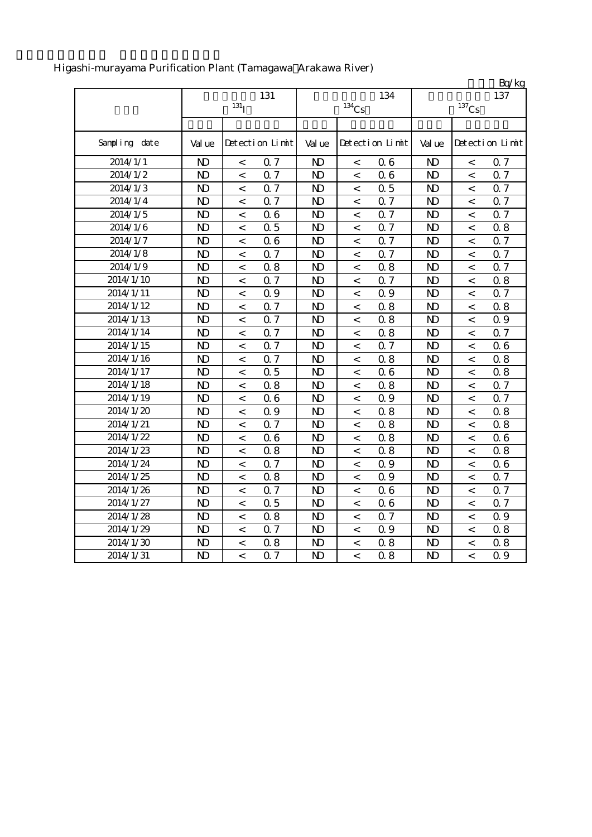|               |                |                           |                |                     |                | Bq/kg                 |
|---------------|----------------|---------------------------|----------------|---------------------|----------------|-----------------------|
|               |                | 131                       |                | 134                 |                | 137                   |
|               |                | 131 <sub>I</sub>          |                | $^{134}\mathrm{Cs}$ |                | $^{137}\mathrm{Cs}$   |
|               |                |                           |                |                     |                |                       |
| Sampling date | Val ue         | Detection Limit           | Val ue         | Detection Limit     | Val ue         | Detection Limit       |
| 2014/1/1      | N <sub>D</sub> | 0.7<br>$\,<$              | N <sub>D</sub> | 06<br>$\,<$         | $\mathbf{D}$   | 0.7<br>$\,<$          |
| 2014/1/2      | N <sub>D</sub> | 0.7<br>$\,<\,$            | N <sub>D</sub> | 06<br>$\,<\,$       | $\mathbf{D}$   | 0.7<br>$\,<\,$        |
| 2014/1/3      | N <sub>D</sub> | 0.7<br>$\,<\,$            | N <sub>D</sub> | 0.5<br>$\,<\,$      | N <sub>D</sub> | 0.7<br>$\,<\,$        |
| 2014/1/4      | N <sub>D</sub> | 0.7<br>$\,<$              | N <sub>D</sub> | 0.7<br>$\,<$        | N <sub>D</sub> | 0.7<br>$\,<$          |
| 2014/1/5      | N <sub>D</sub> | 06<br>$\,<\,$             | N <sub>D</sub> | 0.7<br>$\,<$        | N <sub>D</sub> | 0.7<br>$\,<$          |
| 2014/1/6      | N <sub>D</sub> | 0.5<br>$\,<$              | N <sub>D</sub> | 0.7<br>$\,<\,$      | N <sub>D</sub> | 0.8<br>$\,<$          |
| 2014/1/7      | N <sub>D</sub> | 06<br>$\,<$               | N <sub>D</sub> | 0.7<br>$\,<$        | N <sub>D</sub> | 0.7<br>$\,<$          |
| 2014/1/8      | N <sub>D</sub> | 0.7<br>$\,<$              | N <sub>D</sub> | 0.7<br>$\,<$        | N <sub>D</sub> | 0.7<br>$\,<$          |
| 2014/1/9      | $\mathbf{D}$   | 0.8<br>$\,<$              | N <sub>D</sub> | 08<br>$\,<$         | $\mathbf{D}$   | 0.7<br>$\,<\,$        |
| 2014/1/10     | N <sub>D</sub> | 0.7<br>$\,<$              | N <sub>D</sub> | 0.7<br>$\,<$        | N <sub>D</sub> | 0.8<br>$\,<\,$        |
| 2014/1/11     | N <sub>D</sub> | 0.9<br>$\,<$              | N <sub>D</sub> | 0.9<br>$\,<\,$      | N <sub>D</sub> | 0.7<br>$\,<\,$        |
| 2014/1/12     | N <sub>D</sub> | 0.7<br>$\,<$              | N <sub>D</sub> | 0.8<br>$\,<$        | N <sub>D</sub> | 0.8<br>$\,<\,$        |
| 2014/1/13     | $\mathbf{D}$   | Q <sub>7</sub><br>$\,<$   | N <sub>D</sub> | 0.8<br>$\,<$        | $\mathbf{D}$   | 0.9<br>$\,<\,$        |
| 2014/1/14     | N <sub>D</sub> | Q <sub>7</sub><br>$\,<$   | $\mathbf{D}$   | 0.8<br>$\,<$        | N <sub>D</sub> | Q 7<br>$\,<\,$        |
| 2014/1/15     | N <sub>D</sub> | Q 7<br>$\,<$              | $\mathbf{D}$   | 0.7<br>$\,<$        | $\mathbf{D}$   | 06<br>$\,<$           |
| 2014/1/16     | $\mathbf{D}$   | 0.7<br>$\,<$              | N <sub>D</sub> | 0.8<br>$\,<$        | $\mathbf{D}$   | 0.8<br>$\prec$        |
| 2014/1/17     | $\mathbf{D}$   | 0.5<br>$\,<$              | $\mathbf{D}$   | 06<br>$\,<$         | $\mathbf{D}$   | 0.8<br>$\,<$          |
| 2014/1/18     | $\mathbf{D}$   | 0.8<br>$\,<\,$            | N <sub>D</sub> | 0.8<br>$\,<$        | $\mathbf{D}$   | 0.7<br>$\,<$          |
| 2014/1/19     | N <sub>D</sub> | 06<br>$\,<$               | N <sub>D</sub> | 0.9<br>$\,<$        | $\mathbf{D}$   | 0.7<br>$\,<$          |
| 2014/1/20     | N <sub>D</sub> | 0.9<br>$\,<\,$            | N <sub>D</sub> | 0.8<br>$\,<$        | $\mathbf{D}$   | 0.8<br>$\,<\,$        |
| 2014/1/21     | N <sub>D</sub> | 0.7<br>$\prec$            | N <sub>D</sub> | 0.8<br>$\lt$        | N <sub>D</sub> | 0.8<br>$\,<\,$        |
| 2014/1/22     | N <sub>D</sub> | 06<br>$\,<\,$             | N <sub>D</sub> | 0.8<br>$\,<$        | $\mathbf{D}$   | 06<br>$\,<\,$         |
| 2014/1/23     | N <sub>D</sub> | 0.8<br>$\,<\,$            | N <sub>D</sub> | 0.8<br>$\,<\,$      | $\mathbf{D}$   | 0.8<br>$\,<$          |
| 2014/1/24     | N <sub>D</sub> | Q <sub>7</sub><br>$\,<$   | N <sub>D</sub> | 0.9<br>$\,<$        | N <sub>D</sub> | 06<br>$\,<$           |
| 2014/1/25     | N <sub>D</sub> | 0.8<br>$\,<\,$            | N <sub>D</sub> | 0.9<br>$\,<$        | N <sub>D</sub> | 0.7<br>$\,<\,$        |
| 2014/1/26     | N <sub>D</sub> | 0.7<br>$\,<\,$            | N <sub>D</sub> | 06<br>$\,<$         | $\mathbf{D}$   | 0.7<br>$\,<\,$        |
| 2014/1/27     | N <sub>D</sub> | Q <sub>5</sub><br>$\,<\,$ | N <sub>D</sub> | 06<br>$\,<\,$       | N <sub>D</sub> | Q 7<br>$\,<\,$        |
| 2014/1/28     | N <sub>D</sub> | 0.8<br>$\,<\,$            | N <sub>D</sub> | 0.7<br>$\,<\,$      | N <sub>D</sub> | 0.9<br>$\,<\,$        |
| 2014/1/29     | N <sub>D</sub> | 0.7<br>$\,<$              | N <sub>D</sub> | 0.9<br>$\,<\,$      | N <sub>D</sub> | 0.8<br>$\,<$          |
| 2014/1/30     | N <sub>D</sub> | 08<br>$\,<\,$             | N <sub>D</sub> | 08<br>$\,<\,$       | N <sub>D</sub> | 0.8<br>$\,<$          |
| 2014/1/31     | N <sub>D</sub> | Q <sub>7</sub><br>$\lt$   | N <sub>D</sub> | 0.8<br>$\lt$        | N <sub>D</sub> | 0.9<br>$\overline{a}$ |

# Higashi-murayama Purification Plant (Tamagawa Arakawa River)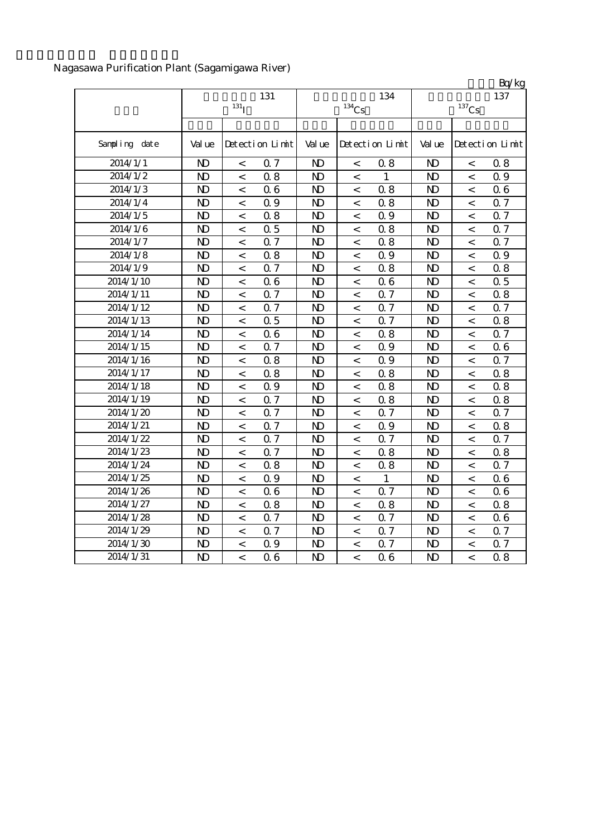Nagasawa Purification Plant (Sagamigawa River)

|               |                |                          |                 |                |          |                 |                |                          | Bq/kg           |
|---------------|----------------|--------------------------|-----------------|----------------|----------|-----------------|----------------|--------------------------|-----------------|
|               |                |                          | 131             |                |          | 134             |                |                          | 137             |
|               |                | 131 <sub>I</sub>         |                 |                | $134$ Cs |                 |                | $137$ Cs                 |                 |
|               |                |                          |                 |                |          |                 |                |                          |                 |
| Sampling date | Val ue         |                          | Detection Limit | Val ue         |          | Detection Limit | Val ue         |                          | Detection Limit |
| 2014/1/1      | $\mathbf{D}$   | $\,<$                    | 0.7             | $\mathbf{D}$   | $\,<$    | 08              | $\mathbf{D}$   | $\,<$                    | 0.8             |
| 2014/1/2      | $\mathbf{D}$   | $\,<$                    | 0.8             | $\mathbf{D}$   | $\,<\,$  | $\mathbf{1}$    | $\mathbf{D}$   | $\,<$                    | 0.9             |
| 2014/1/3      | $\mathbf{D}$   | $\,<$                    | 06              | $\mathbf{D}$   | $\,<$    | 0.8             | $\mathbf{D}$   | $\,<$                    | 0.6             |
| 2014/1/4      | $\mathbf{D}$   | $\,<$                    | 0.9             | $\mathbf{D}$   | $\,<$    | 0.8             | $\mathbf{D}$   | $\,<$                    | 0.7             |
| 2014/1/5      | $\mathbf{D}$   | $\,<$                    | 0.8             | N <sub>D</sub> | $\,<$    | 0.9             | N <sub>D</sub> | $\,<\,$                  | 0.7             |
| 2014/1/6      | $\mathbf{D}$   | $\,<\,$                  | 0.5             | $\mathbf{D}$   | $\,<$    | 0.8             | N <sub>D</sub> | $\,<\,$                  | 0.7             |
| 2014/1/7      | $\mathbf{D}$   | $\,<\,$                  | 0.7             | $\mathbf{D}$   | $\,<$    | 0.8             | $\mathbf{D}$   | $\,<\,$                  | 0.7             |
| 2014/1/8      | $\mathbf{D}$   | $\,<$                    | 0.8             | N <sub>D</sub> | $\lt$    | 0.9             | N <sub>D</sub> | $\,<\,$                  | 0.9             |
| 2014/1/9      | $\mathbf{D}$   | $\,<$                    | 0.7             | N <sub>D</sub> | $\,<$    | 0.8             | N <sub>D</sub> | $\,<\,$                  | 0.8             |
| 2014/1/10     | $\mathbf{D}$   | $\,<\,$                  | 06              | N <sub>D</sub> | $\,<$    | 06              | $\mathbf{D}$   | $\,<\,$                  | 0.5             |
| 2014/1/11     | $\mathbf{D}$   | $\,<\,$                  | 0.7             | $\mathbf{D}$   | $\,<$    | 0.7             | $\mathbf{N}$   | $\,<\,$                  | 0.8             |
| 2014/1/12     | $\mathbf{D}$   | $\,<\,$                  | 0.7             | $\mathbf{D}$   | $\,<\,$  | 0.7             | $\mathbf{D}$   | $\,<\,$                  | 0.7             |
| 2014/1/13     | $\mathbf{D}$   | $\,<$                    | 0.5             | $\mathbf{D}$   | $\,<\,$  | 0.7             | $\mathbf{D}$   | $\,<\,$                  | 0.8             |
| 2014/1/14     | N <sub>D</sub> | $\,<\,$                  | 06              | N <sub>D</sub> | $\,<$    | 0.8             | N <sub>D</sub> | $\,<\,$                  | 0.7             |
| 2014/1/15     | $\mathbf{D}$   | $\,<\,$                  | 0.7             | N <sub>D</sub> | $\,<\,$  | 0.9             | $\mathbf{D}$   | $\,<\,$                  | 06              |
| 2014/1/16     | $\mathbf{D}$   | $\,<\,$                  | 0.8             | N <sub>D</sub> | $\,<\,$  | 0.9             | $\mathbf{N}$   | $\,<\,$                  | 0.7             |
| 2014/1/17     | $\mathbf{D}$   | $\,<\,$                  | 0.8             | N <sub>D</sub> | $\,<$    | 0.8             | $\mathbf{N}$   | $\,<\,$                  | 0.8             |
| 2014/1/18     | $\mathbf{D}$   | $\,<\,$                  | 0.9             | N <sub>D</sub> | $\,<$    | 0.8             | $\mathbf{N}$   | $\,<$                    | 0.8             |
| 2014/1/19     | $\mathbf{D}$   | $\,<$                    | 0.7             | N <sub>D</sub> | $\,<$    | 0.8             | $\mathbf{D}$   | $\,<\,$                  | 0.8             |
| 2014/1/20     | $\mathbf{D}$   | $\,<\,$                  | 0.7             | N <sub>D</sub> | $\,<$    | 0.7             | $\mathbf{D}$   | $\,<\,$                  | 0.7             |
| 2014/1/21     | $\mathbf{D}$   | $\,<\,$                  | 0.7             | N <sub>D</sub> | $\,<$    | 0.9             | $\mathbf{D}$   | $\,<\,$                  | 0.8             |
| 2014/1/22     | $\mathbf{D}$   | $\,<$                    | 0.7             | N <sub>D</sub> | $\,<$    | 0.7             | $\mathbf{D}$   | $\,<$                    | 0.7             |
| 2014/1/23     | N <sub>D</sub> | $\,<\,$                  | 0.7             | N <sub>D</sub> | $\,<\,$  | 0.8             | N <sub>D</sub> | $\,<\,$                  | 0.8             |
| 2014/1/24     | N <sub>D</sub> | $\,<$                    | 0.8             | N <sub>D</sub> | $\,<$    | 0.8             | N <sub>D</sub> | $\,<$                    | 0.7             |
| 2014/1/25     | N <sub>D</sub> | $\,<\,$                  | 0.9             | N <sub>D</sub> | $\,<\,$  | $\mathbf{1}$    | $\mathbf{D}$   | $\,<$                    | 06              |
| 2014/1/26     | $\mathbf{D}$   | $\,<$                    | 06              | N <sub>D</sub> | $\,<$    | Q 7             | $\mathbf{D}$   | $\overline{\phantom{a}}$ | 0.6             |
| 2014/1/27     | $\mathbf{D}$   | $\,<$                    | 0.8             | N <sub>D</sub> | $\,<$    | 0.8             | $\mathbf{D}$   | $\,<$                    | 0.8             |
| 2014/1/28     | $\mathbf{D}$   | $\,<$                    | 0.7             | N <sub>D</sub> | $\,<$    | 0.7             | N <sub>D</sub> | $\,<$                    | 0.6             |
| 2014/1/29     | $\mathbf{D}$   | $\,<\,$                  | Q <sub>7</sub>  | N <sub>D</sub> | $\,<\,$  | Q <sub>7</sub>  | $\mathbf{D}$   | $\,<\,$                  | 0.7             |
| 2014/1/30     | $\mathbf{D}$   | $\,<\,$                  | 0.9             | N <sub>D</sub> | $\,<$    | 0.7             | $\mathbf{D}$   | $\,<\,$                  | 0.7             |
| 2014/1/31     | N <sub>D</sub> | $\overline{\phantom{a}}$ | 06              | N <sub>D</sub> | $\,<\,$  | 06              | N <sub>D</sub> | $\overline{\phantom{a}}$ | 0.8             |